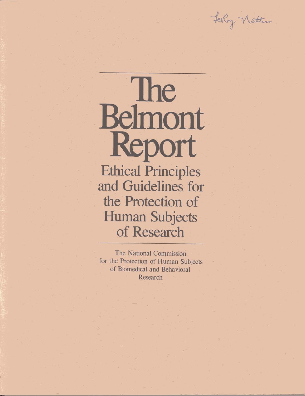Feeling Walter

# The Belmont Report **Ethical Principles** and Guidelines for

the Protection of **Human Subjects** of Research

The National Commission for the Protection of Human Subjects of Biomedical and Behavioral Research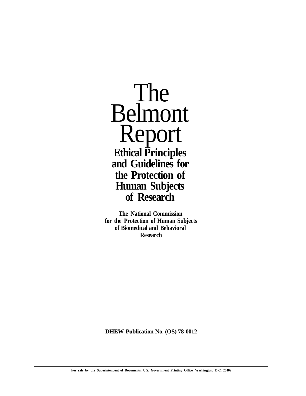

**The National Commission for the Protection of Human Subjects of Biomedical and Behavioral Research** 

**DHEW Publication No. (OS) 78-0012**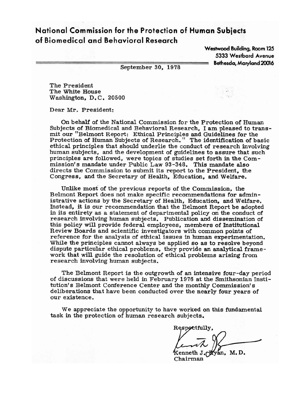## National Commission for the Protection of Human Subjects of Biomedical and Behavioral Research

Westwood Building, Room 125 5333 Westbard Avenue Bethesda, Maryland 20016

September 30, 1978

The President The White House Washington, D.C. 20500

Dear Mr. President:

On behalf of the National Commission for the Protection of Human Subjects of Biomedical and Behavioral Research, I am pleased to transmit our "Belmont Report: Ethical Principles and Guidelines for the Protection of Human Subjects of Research." The identification of basic ethical principles that should underlie the conduct of research involving human subjects, and the development of guidelines to assure that such principles are followed, were topics of studies set forth in the Commission's mandate under Public Law 93-348. This mandate also directs the Commission to submit its report to the President, the Congress, and the Secretary of Health, Education, and Welfare.

Unlike most of the previous reports of the Commission, the Belmont Report does not make specific recommendations for administrative actions by the Secretary of Health, Education, and Welfare. Instead, it is our recommendation that the Belmont Report be adopted in its entirety as a statement of departmental policy on the conduct of research involving human subjects. Publication and dissemination of this policy will provide federal employees, members of Institutional Review Boards and scientific investigators with common points of reference for the analysis of ethical issues in human experimentation. While the principles cannot always be applied so as to resolve beyond dispute particular ethical problems, they provide an analytical framework that will guide the resolution of ethical problems arising from research involving human subjects.

The Belmont Report is the outgrowth of an intensive four-day period of discussions that were held in February 1976 at the Smithsonian Institution's Belmont Conference Center and the monthly Commission's deliberations that have been conducted over the nearly four years of our existence.

We appreciate the opportunity to have worked on this fundamental task in the protection of human research subjects.

Respoctfully.

Kenneth J. Payan, M.D. Chairman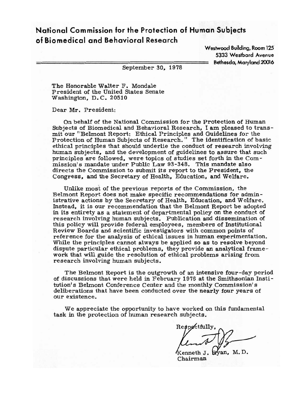## National Commission for the Protection of Human Subjects of Biomedical and Behavioral Research

Westwood Building, Room 125 5333 Westbard Avenue Bethesda, Maryland 20016

September 30, 1978

The Honorable Walter F. Mondale President of the United States Senate Washington, D.C. 20510

Dear Mr. President:

On behalf of the National Commission for the Protection of Human Subjects of Biomedical and Behavioral Research, I am pleased to transmit our "Belmont Report: Ethical Principles and Guidelines for the Protection of Human Subjects of Research." The identification of basic ethical principles that should underlie the conduct of research involving human subjects, and the development of guidelines to assure that such principles are followed, were topics of studies set forth in the Commission's mandate under Public Law 93-348. This mandate also directs the Commission to submit its report to the President, the Congress, and the Secretary of Health, Education, and Welfare.

Unlike most of the previous reports of the Commission, the Belmont Report does not make specific recommendations for administrative actions by the Secretary of Health, Education, and Welfare. Instead, it is our recommendation that the Belmont Report be adopted in its entirety as a statement of departmental policy on the conduct of research involving human subjects. Publication and dissemination of this policy will provide federal employees, members of Institutional Review Boards and scientific investigators with common points of reference for the analysis of ethical issues in human experimentation. While the principles cannot always be applied so as to resolve beyond dispute particular ethical problems, they provide an analytical framework that will guide the resolution of ethical problems arising from research involving human subjects.

The Belmont Report is the outgrowth of an intensive four-day period of discussions that were held in February 1976 at the Smithsonian Institution's Belmont Conference Center and the monthly Commission's deliberations that have been conducted over the nearly four years of our existence.

We appreciate the opportunity to have worked on this fundamental task in the protection of human research subjects.

Respectfully

Kenneth J. Ryan, M.D. Chairman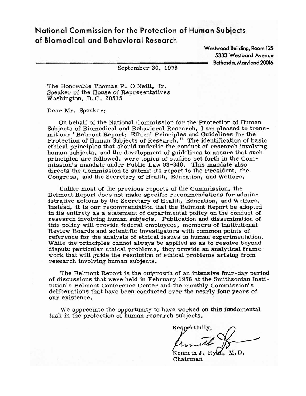## National Commission for the Protection of Human Subjects of Biomedical and Behavioral Research

Westwood Building, Room 125 5333 Westbard Avenue Bethesda, Maryland 20016

September 30, 1978

The Honorable Thomas P. O Neill, Jr. Speaker of the House of Representatives  $\overline{W}$  ashington, D.C. 20515

Dear Mr. Speaker:

On behalf of the National Commission for the Protection of Human Subjects of Biomedical and Behavioral Research, I am pleased to transmit our "Belmont Report: Ethical Principles and Guidelines for the Protection of Human Subjects of Research." The identification of basic ethical principles that should underlie the conduct of research involving human subjects, and the development of guidelines to assure that such principles are followed, were topics of studies set forth in the Commission's mandate under Public Law 93-348. This mandate also directs the Commission to submit its report to the President, the Congress, and the Secretary of Health, Education, and Welfare.

Unlike most of the previous reports of the Commission. the Belmont Report does not make specific recommendations for administrative actions by the Secretary of Health, Education, and Welfare. Instead, it is our recommendation that the Belmont Report be adopted in its entirety as a statement of departmental policy on the conduct of research involving human subjects. Publication and dissemination of this policy will provide federal employees, members of Institutional Review Boards and scientific investigators with common points of reference for the analysis of ethical issues in human experimentation. While the principles cannot always be applied so as to resolve beyond dispute particular ethical problems, they provide an analytical framework that will guide the resolution of ethical problems arising from research involving human subjects.

The Belmont Report is the outgrowth of an intensive four-day period of discussions that were held in February 1976 at the Smithsonian Institution's Belmont Conference Center and the monthly Commission's deliberations that have been conducted over the nearly four years of our existence.

We appreciate the opportunity to have worked on this fundamental task in the protection of human research subjects.

Respectfully.

Kenneth J. Ryan, M.D. Chairman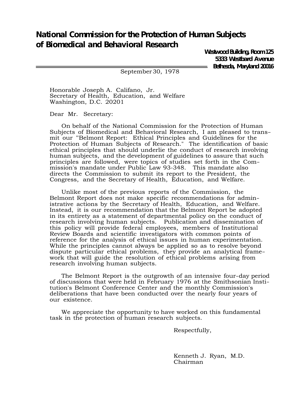## **National Commission for the Protection of Human Subjects of Biomedical and Behavioral Research**

**Westwood Building, Room 125 5333 Westbard Avenue Bethesda, Maryland 20016** 

September 30, 1978

Honorable Joseph A. Califano, Jr. Secretary of Health, Education, and Welfare Washington, D.C. 20201

Dear Mr. Secretary:

On behalf of the National Commission for the Protection of Human Subjects of Biomedical and Behavioral Research, I am pleased to transmit our "Belmont Report: Ethical Principles and Guidelines for the Protection of Human Subjects of Research." The identification of basic ethical principles that should underlie the conduct of research involving human subjects, and the development of guidelines to assure that such principles are followed, were topics of studies set forth in the Commission's mandate under Public Law 93-348. This mandate also directs the Commission to submit its report to the President, the Congress, and the Secretary of Health, Education, and Welfare.

Unlike most of the previous reports of the Commission, the Belmont Report does not make specific recommendations for administrative actions by the Secretary of Health, Education, and Welfare. Instead, it is our recommendation that the Belmont Report be adopted in its entirety as a statement of departmental policy on the conduct of research involving human subjects. Publication and dissemination of this policy will provide federal employees, members of Institutional Review Boards and scientific investigators with common points of reference for the analysis of ethical issues in human experimentation. While the principles cannot always be applied so as to resolve beyond dispute particular ethical problems, they provide an analytical framework that will guide the resolution of ethical problems arising from research involving human subjects.

The Belmont Report is the outgrowth of an intensive four-day period of discussions that were held in February 1976 at the Smithsonian Institution's Belmont Conference Center and the monthly Commission's deliberations that have been conducted over the nearly four years of our existence.

We appreciate the opportunity to have worked on this fundamental task in the protection of human research subjects.

Respectfully,

Kenneth J. Ryan, M.D. Chairman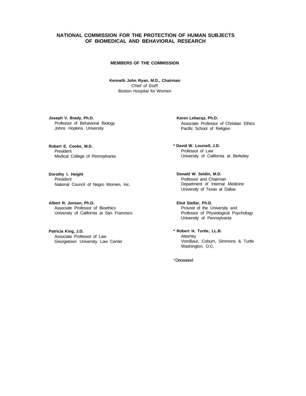#### **NATIONAL COMMISSION FOR THE PROTECTION OF HUMAN SUBJECTS OF BIOMEDICAL AND BEHAVIORAL RESEARCH**

#### **MEMBERS OF THE COMMISSION**

**Kenneth John Ryan, M.D., Chairman**  Chief of Staff Boston Hospital for Women

**Joseph V. Brady, Ph.D.**  Professor of Behavioral Biology Johns Hopkins University

**Robert E. Cooke, M.D.**  President Medical College of Pennsylvania

**Dorothy I. Height**  President National Council of Negro Women, Inc.

**Albert R. Jonsen, Ph.D.**  Associate Professor of Bioethics University of California at San Francisco

**Patricia King, J.D.**  Associate Professor of Law Georgetown University Law Center **Karen Lebacqz, Ph.D.**  Associate Professor of Christian Ethics Pacific School of Religion

**\* David W. Louisell, J.D.**  Professor of Law University of California at Berkeley

**Donald W. Seldin, M.D.**  Professor and Chairman Department of Internal Medicine University of Texas at Dallas

**Eliot Stellar, Ph.D.**  Provost of the University and Professor of Physiological Psychology University of Pennsylvania

**\* Robert H. Turtle, LL.B.**  Attorney VomBaur, Coburn, Simmons & Turtle Washington, D.C.

\* Deceased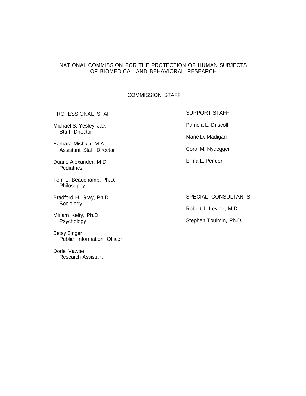#### NATIONAL COMMISSION FOR THE PROTECTION OF HUMAN SUBJECTS OF BIOMEDICAL AND BEHAVIORAL RESEARCH

#### COMMISSION STAFF

#### PROFESSIONAL STAFF Michael S. Yesley, J.D. Staff Director Barbara Mishkin, M.A. Assistant Staff Director Duane Alexander, M.D. **Pediatrics** Tom L. Beauchamp, Ph.D. Philosophy Bradford H. Gray, Ph.D. Sociology Miriam Kelty, Ph.D. Psychology Betsy Singer Public Information Officer Dorle Vawter SUPPORT STAFF Pamela L. Driscoll Marie D. Madigan Coral M. Nydegger Erma L. Pender SPECIAL CONSULTANTS Robert J. Levine, M.D. Stephen Toulmin, Ph.D.

Research Assistant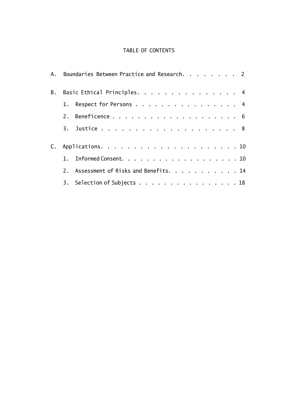## TABLE OF CONTENTS

|  |                                | A. Boundaries Between Practice and Research. 2 |
|--|--------------------------------|------------------------------------------------|
|  | B. Basic Ethical Principles. 4 |                                                |
|  |                                | 1. Respect for Persons 4                       |
|  |                                |                                                |
|  |                                |                                                |
|  |                                |                                                |
|  |                                |                                                |
|  |                                | 2. Assessment of Risks and Benefits. 14        |
|  |                                | 3. Selection of Subjects 18                    |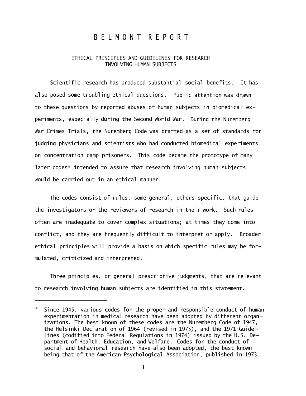## B E L M O N T R E P O R T

#### ETHICAL PRINCIPLES AND GUIDELINES FOR RESEARCH INVOLVING HUMAN SUBJECTS

Scientific research has produced substantial social benefits. It has al so posed some troubling ethical questions. Public attention was drawn to these questions by reported abuses of human subjects in biomedical experiments, especially during the Second World War. During the Nuremberg War Crimes Trials, the Nuremberg Code was drafted as a set of standards for judging physicians and scientists who had conducted biomedical experiments on concentration camp prisoners. This code became the prototype of many later codes\* intended to assure that research involving human subjects would be carried out in an ethical manner.

The codes consist of rules, some general, others specific, that guide the investigators or the reviewers of research in their work. Such rules often are inadequate to cover complex situations; at times they come into conflict, and they are frequently difficult to interpret or apply. Broader ethical principles will provide a basis on which specific rules may be formulated, criticized and interpreted.

Three principles, or general prescriptive judgments, that are relevant to research involving human subjects are identified in this statement.

<sup>\*</sup> Since 1945, various codes for the proper and responsible conduct of human experimentation in medical research have been adopted by different organizations. The best known of these codes are the Nuremberg Code of 1947, the Helsinki Declaration of 1964 (revised in 1975), and the 1971 Guidelines (codified into Federal Regulations in 1974) issued by the U.S. Department of Health, Education, and Welfare. Codes for the conduct of social and behavioral research have also been adopted, the best known being that of the American Psychological Association, published in 1973.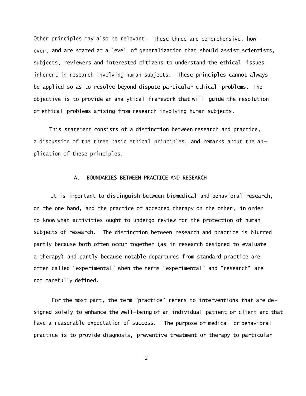<span id="page-19-0"></span>Other principles may also be relevant. These three are comprehensive, however, and are stated at a level of generalization that should assist scientists, subjects, reviewers and interested citizens to understand the ethical issues inherent in research involving human subjects. These principles cannot always be applied so as to resolve beyond dispute particular ethical problems. The objective is to provide an analytical framework that will guide the resolution of ethical problems arising from research involving human subjects.

This statement consists of a distinction between research and practice, a discussion of the three basic ethical principles, and remarks about the application of these principles.

### A. BOUNDARIES BETWEEN PRACTICE AND RESEARCH

It is important to distinguish between biomedical and behavioral research, on the one hand, and the practice of accepted therapy on the other, in order to know what activities ought to undergo review for the protection of human subjects of research. The distinction between research and practice is blurred partly because both often occur together (as in research designed to evaluate a therapy) and partly because notable departures from standard practice are often called "experimental" when the terms "experimental" and "research" are not carefully defined.

For the most part, the term "practice" refers to interventions that are designed solely to enhance the well-being of an individual patient or client and that have a reasonable expectation of success. The purpose of medical or behavioral practice is to provide diagnosis, preventive treatment or therapy to particular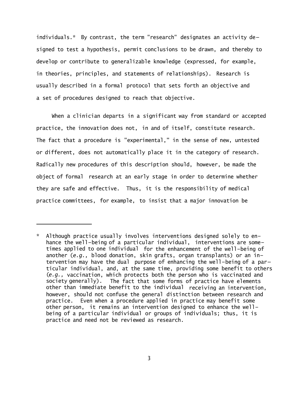individuals.\* By contrast, the term "research" designates an activity designed to test a hypothesis, permit conclusions to be drawn, and thereby to develop or contribute to generalizable knowledge (expressed, for example, in theories, principles, and statements of relationships). Research is usually described in a formal protocol that sets forth an objective and a set of procedures designed to reach that objective.

When a clinician departs in a significant way from standard or accepted practice, the innovation does not, in and of itself, constitute research. The fact that a procedure is "experimental," in the sense of new, untested or different, does not automatically place it in the category of research. Radically new procedures of this description should, however, be made the object of formal research at an early stage in order to determine whether they are safe and effective. Thus, it is the responsibility of medical practice committees, for example, to insist that a major innovation be

<sup>\*</sup> Although practice usually involves interventions designed solely to enhance the well-being of a particular individual, interventions are sometimes applied to one individual for the enhancement of the well-being of another (e.g., blood donation, skin grafts, organ transplants) or an intervention may have the dual purpose of enhancing the well-being of a particular individual, and, at the same time, providing some benefit to others ( *e.g.,* vaccination, which protects both the person who is vaccinated and society generally). The fact that some forms of practice have elements other than immediate benefit to the individual receiving an intervention, however, should not confuse the general distinction between research and practice. Even when a procedure applied in practice may benefit some other person, it remains an intervention designed to enhance the wellbeing of a particular individual or groups of individuals; thus, it is practice and need not be reviewed as research.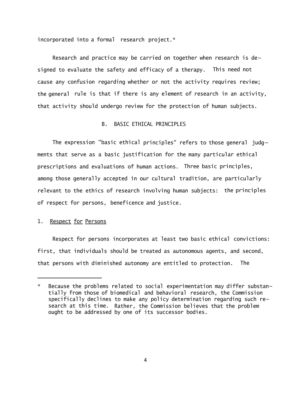<span id="page-21-0"></span>incorporated into a formal research project.\*

Research and practice may be carried on together when research is designed to evaluate the safety and efficacy of a therapy. This need not cause any confusion regarding whether or not the activity requires review; the general rule is that if there is any element of research in an activity, that activity should undergo review for the protection of human subjects.

#### B. BASIC ETHICAL PRINCIPLES

The expression "basic ethical principles" refers to those general judgments that serve as a basic justification for the many particular ethical prescriptions and evaluations of human actions. Three basic principles, among those generally accepted in our cultural tradition, are particularly relevant to the ethics of research involving human subjects: the principles of respect for persons, beneficence and justice.

#### 1. Respect for Persons

Respect for persons incorporates at least two basic ethical convictions: first, that individuals should be treated as autonomous agents, and second, that persons with diminished autonomy are entitled to protection. The

<sup>\*</sup> Because the problems related to social experimentation may differ substantially from those of biomedical and behavioral research, the Commission specifically declines to make any policy determination regarding such research at this time. Rather, the Commission believes that the problem ought to be addressed by one of its successor bodies.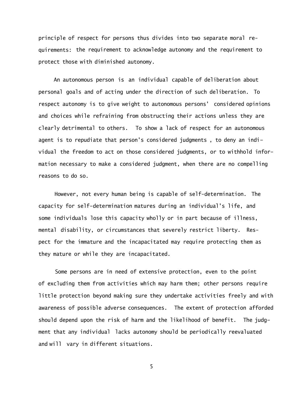principle of respect for persons thus divides into two separate moral requirements: the requirement to acknowledge autonomy and the requirement to protect those with diminished autonomy.

An autonomous person is an individual capable of deliberation about personal goals and of acting under the direction of such deliberation. To respect autonomy is to give weight to autonomous persons' considered opinions and choices while refraining from obstructing their actions unless they are clearly detrimental to others. To show a lack of respect for an autonomous agent is to repudiate that person's considered judgments , to deny an individual the freedom to act on those considered judgments, or to withhold information necessary to make a considered judgment, when there are no compelling reasons to do so.

However, not every human being is capable of self-determination. The capacity for self-determination matures during an individual's life, and some individuals lose this capacity wholly or in part because of illness, mental disability, or circumstances that severely restrict liberty. Respect for the immature and the incapacitated may require protecting them as they mature or while they are incapacitated.

Some persons are in need of extensive protection, even to the point of excluding them from activities which may harm them; other persons require little protection beyond making sure they undertake activities freely and with awareness of possible adverse consequences. The extent of protection afforded should depend upon the risk of harm and the likelihood of benefit. The judgment that any individual lacks autonomy should be periodically reevaluated and will vary in different situations.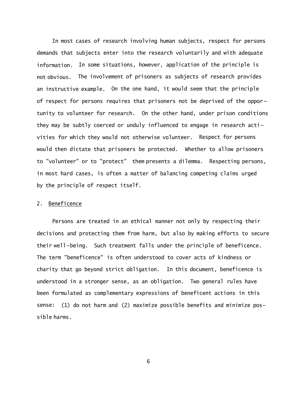<span id="page-23-0"></span>In most cases of research involving human subjects, respect for persons demands that subjects enter into the research voluntarily and with adequate information. In some situations, however, application of the principle is not obvious. The involvement of prisoners as subjects of research provides an instructive example. On the one hand, it would seem that the principle of respect for persons requires that prisoners not be deprived of the opportunity to volunteer for research. On the other hand, under prison conditions they may be subtly coerced or unduly influenced to engage in research activities for which they would not otherwise volunteer. Respect for persons would then dictate that prisoners be protected. Whether to allow prisoners to "volunteer" or to "protect" them presents a dilemma. Respecting persons, in most hard cases, is often a matter of balancing competing claims urged by the principle of respect itself.

#### 2. Beneficence

Persons are treated in an ethical manner not only by respecting their decisions and protecting them from harm, but also by making efforts to secure their well-being. Such treatment falls under the principle of beneficence. The term "beneficence" is often understood to cover acts of kindness or charity that go beyond strict obligation. In this document, beneficence is understood in a stronger sense, as an obligation. Two general rules have been formulated as complementary expressions of beneficent actions in this sense: (1) do not harm and (2) maximize possible benefits and minimize possible harms.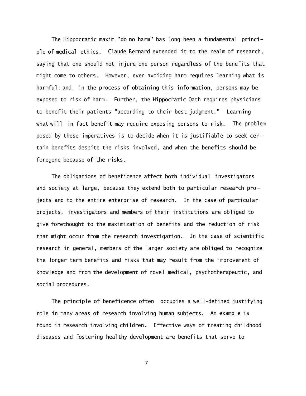The Hippocratic maxim "do no harm" has long been a fundamental principle of medical ethics. Claude Bernard extended it to the realm of research, saying that one should not injure one person regardless of the benefits that might come to others. However, even avoiding harm requires learning what is harmful; and, in the process of obtaining this information, persons may be exposed to risk of harm. Further, the Hippocratic Oath requires physicians to benefit their patients "according to their best judgment." Learning what will in fact benefit may require exposing persons to risk. The problem posed by these imperatives is to decide when it is justifiable to seek certain benefits despite the risks involved, and when the benefits should be foregone because of the risks.

The obligations of beneficence affect both individual investigators and society at large, because they extend both to particular research projects and to the entire enterprise of research. In the case of particular projects, investigators and members of their institutions are obliged to give forethought to the maximization of benefits and the reduction of risk that might occur from the research investigation. In the case of scientific research in general, members of the larger society are obliged to recognize the longer term benefits and risks that may result from the improvement of knowledge and from the development of novel medical, psychotherapeutic, and social procedures.

The principle of beneficence often occupies a well-defined justifying role in many areas of research involving human subjects. An example is found in research involving children. Effective ways of treating childhood diseases and fostering healthy development are benefits that serve to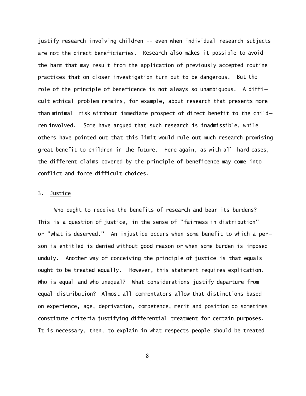<span id="page-25-0"></span>justify research involving children -- even when individual research subjects are not the direct beneficiaries. Research also makes it possible to avoid the harm that may result from the application of previously accepted routine practices that on closer investigation turn out to be dangerous. But the role of the principle of beneficence is not always so unambiguous. A difficult ethical problem remains, for example, about research that presents more than minimal risk withhout immediate prospect of direct benefit to the children involved. Some have argued that such research is inadmissible, while others have pointed out that this limit would rule out much research promising great benefit to children in the future. Here again, as with all hard cases, the different claims covered by the principle of beneficence may come into conflict and force difficult choices.

#### 3. Justice

Who ought to receive the benefits of research and bear its burdens? This is a question of justice, in the sense of "fairness in distribution" or "what is deserved." An injustice occurs when some benefit to which a person is entitled is denied without good reason or when some burden is imposed unduly. Another way of conceiving the principle of justice is that equals ought to be treated equally. However, this statement requires explication. Who is equal and who unequal? What considerations justify departure from equal distribution? Almost all commentators allow that distinctions based on experience, age, deprivation, competence, merit and position do sometimes constitute criteria justifying differential treatment for certain purposes. It is necessary, then, to explain in what respects people should be treated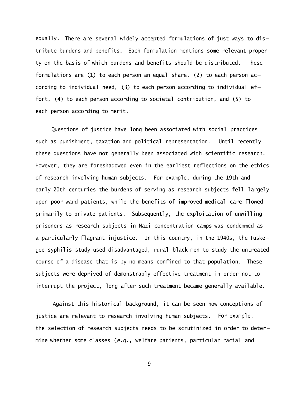equally. There are several widely accepted formulations of just ways to distribute burdens and benefits. Each formulation mentions some relevant property on the basis of which burdens and benefits should be distributed. These formulations are (1) to each person an equal share, (2) to each person according to individual need, (3) to each person according to individual effort, (4) to each person according to societal contribution, and (5) to each person according to merit.

Questions of justice have long been associated with social practices such as punishment, taxation and political representation. Until recently these questions have not generally been associated with scientific research. However, they are foreshadowed even in the earliest reflections on the ethics of research involving human subjects. For example, during the 19th and early 20th centuries the burdens of serving as research subjects fell largely upon poor ward patients, while the benefits of improved medical care flowed primarily to private patients. Subsequently, the exploitation of unwilling prisoners as research subjects in Nazi concentration camps was condemmed as a particularly flagrant injustice. In this country, in the 1940s, the Tuskegee syphilis study used disadvantaged, rural black men to study the untreated course of a disease that is by no means confined to that population. These subjects were deprived of demonstrably effective treatment in order not to interrupt the project, long after such treatment became generally available.

Against this historical background, it can be seen how conceptions of justice are relevant to research involving human subjects. For example, the selection of research subjects needs to be scrutinized in order to determine whether some classes ( *e.g.,* welfare patients, particular racial and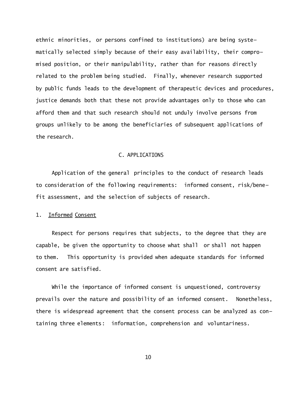<span id="page-27-0"></span>ethnic minorities, or persons confined to institutions) are being systematically selected simply because of their easy availability, their compromised position, or their manipulability, rather than for reasons directly related to the problem being studied. Finally, whenever research supported by public funds leads to the development of therapeutic devices and procedures, justice demands both that these not provide advantages only to those who can afford them and that such research should not unduly involve persons from groups unlikely to be among the beneficiaries of subsequent applications of the research.

#### C. APPLICATIONS

Application of the general principles to the conduct of research leads to consideration of the following requirements: informed consent, risk/benefit assessment, and the selection of subjects of research.

#### 1. Informed Consent

Respect for persons requires that subjects, to the degree that they are capable, be given the opportunity to choose what shall or shall not happen to them. This opportunity is provided when adequate standards for informed consent are satisfied.

While the importance of informed consent is unquestioned, controversy prevails over the nature and possibility of an informed consent . Nonetheless, there is widespread agreement that the consent process can be analyzed as containing three elements : information, comprehension and voluntariness.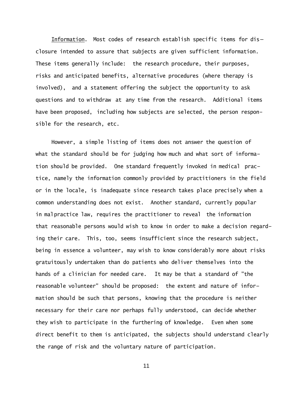Information. Most codes of research establish specific items for disclosure intended to assure that subjects are given sufficient information. These items generally include: the research procedure, their purposes, risks and anticipated benefits, alternative procedures (where therapy is involved), and a statement offering the subject the opportunity to ask questions and to withdraw at any time from the research. Additional items have been proposed, including how subjects are selected, the person responsible for the research, etc.

However, a simple listing of items does not answer the question of what the standard should be for judging how much and what sort of information should be provided. One standard frequently invoked in medical practice, namely the information commonly provided by practitioners in the field or in the locale, is inadequate since research takes place precisely when a common understanding does not exist. Another standard, currently popular in mal practice law, requires the practitioner to reveal the information that reasonable persons would wish to know in order to make a decision regarding their care. This, too, seems insufficient since the research subject, being in essence a volunteer, may wish to know considerably more about risks gratuitously undertaken than do patients who deliver themselves into the hands of a clinician for needed care. It may be that a standard of "the reasonable volunteer" should be proposed: the extent and nature of information should be such that persons, knowing that the procedure is neither necessary for their care nor perhaps fully understood, can decide whether they wish to participate in the furthering of knowledge. Even when some direct benefit to them is anticipated, the subjects should understand clearly the range of risk and the voluntary nature of participation.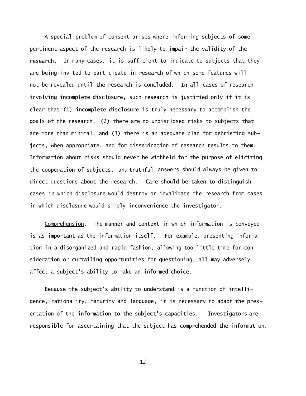A special problem of consent arises where informing subjects of some pertinent aspect of the research is likely to impair the validity of the research. In many cases, it is sufficient to indicate to subjects that they are being invited to participate in research of which some features will not be revealed until the research is concluded. In all cases of research involving incomplete disclosure, such research is justified only if it is clear that (1) incomplete disclosure is truly necessary to accomplish the goals of the research, (2) there are no undisclosed risks to subjects that are more than minimal, and (3) there is an adequate plan for debriefing subjects, when appropriate, and for dissemination of research results to them. Information about risks should never be withheld for the purpose of eliciting the cooperation of subjects, and truthful answers should always be given to direct questions about the research. Care should be taken to distinguish cases in which disclosure would destroy or invalidate the research from cases in which disclosure would simply inconvenience the investigator.

Comprehension . The manner and context in which information is conveyed is as important as the information itself. For example, presenting information in a disorganized and rapid fashion, allowing too little time for consideration or curtailing opportunities for questioning, all may adversely affect a subject's ability to make an informed choice.

Because the subject's ability to understand is a function of intelligence, rationality, maturity and language, it is necessary to adapt the presentation of the information to the subject's capacities. Investigators are responsible for ascertaining that the subject has comprehended the information.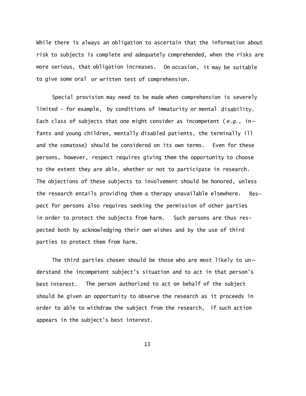While there is always an obligation to ascertain that the information about risk to subjects is complete and adequately comprehended, when the risks are more serious, that obligation increases. On occasion, it may be suitable to give some oral or written test of comprehension.

Special provision may need to be made when comprehension is severely limited - for example, by conditions of immaturity or mental disability. Each class of subjects that one might consider as incompetent ( *e.g.,* infants and young children, mentally disabled patients, the terminally ill and the comatose) should be considered on its own terms. Even for these persons, however, respect requires giving them the opportunity to choose to the extent they are able, whether or not to participate in research. The objections of these subjects to involvement should be honored, unless the research entails providing them a therapy unavailable elsewhere. Respect for persons also requires seeking the permission of other parties in order to protect the subjects from harm. Such persons are thus respected both by acknowledging their own wishes and by the use of third parties to protect them from harm.

The third parties chosen should be those who are most likely to  $un$ derstand the incompetent subject's situation and to act in that person's best interest. The person authorized to act on behalf of the subject should be given an opportunity to observe the research as it proceeds in order to able to withdraw the subject from the research, if such action appears in the subject's best interest.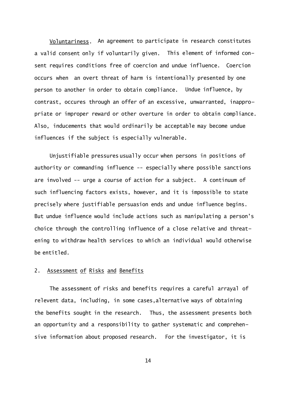<span id="page-31-0"></span>Voluntariness . An agreement to participate in research constitutes a valid consent only if voluntarily given. This element of informed consent requires conditions free of coercion and undue influence. Coercion occurs when an overt threat of harm is intentionally presented by one person to another in order to obtain compliance. Undue influence, by contrast, occures through an offer of an excessive, unwarranted, inappropriate or improper reward or other overture in order to obtain compliance. Also, inducements that would ordinarily be acceptable may become undue influences if the subject is especially vulnerable.

Unjustifiable pressures usually occur when persons in positions of authority or commanding influence -- especially where possible sanctions are involved -- urge a course of action for a subject. A continuum of such influencing factors exists, however, and it is impossible to state precisely where justifiable persuasion ends and undue influence begins. But undue influence would include actions such as manipulating a person's choice through the controlling influence of a close relative and threatening to withdraw health services to which an individual would otherwise be entitled.

#### 2. Assessment of Risks and Benefits

The assessment of risks and benefits requires a careful arrayal of relevent data, including, in some cases,alternative ways of obtaining the benefits sought in the research. Thus, the assessment presents both an opportunity and a responsibility to gather systematic and comprehensive information about proposed research. For the investigator, it is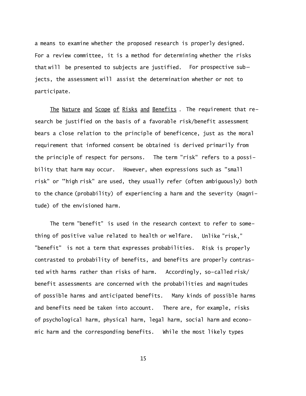a means to examine whether the proposed research is properly designed. For a review committee, it is a method for determining whether the risks that will be presented to subjects are justified. For prospective subjects, the assessment will assist the determination whether or not to participate.

The Nature and Scope of Risks and Benefits . The requirement that research be justified on the basis of a favorable risk/benefit assessment bears a close relation to the principle of beneficence, just as the moral requirement that informed consent be obtained is derived primarily from the principle of respect for persons. The term "risk" refers to a possibility that harm may occur. However, when expressions such as "small risk" or "high risk" are used, they usually refer (often ambiguously) both to the chance (probability) of experiencing a harm and the severity (magnitude) of the envisioned harm.

The term "benefit" is used in the research context to refer to something of positive value related to health or welfare. Unlike "risk," "benefit" is not a term that expresses probabilities. Risk is properly contrasted to probability of benefits, and benefits are properly contrasted with harms rather than risks of harm. Accordingly, so-called risk/ benefit assessments are concerned with the probabilities and magnitudes of possible harms and anticipated benefits. Many kinds of possible harms and benefits need be taken into account. There are, for example, risks of psychological harm, physical harm, legal harm, social harm and economic harm and the corresponding benefits. While the most likely types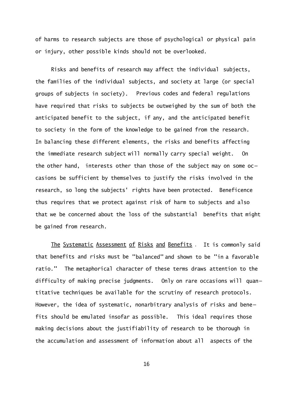of harms to research subjects are those of psychological or physical pain or injury, other possible kinds should not be overlooked.

Risks and benefits of research may affect the individual subjects, the families of the individual subjects, and society at large (or special groups of subjects in society). Previous codes and federal regulations have required that risks to subjects be outweighed by the sum of both the anticipated benefit to the subject, if any, and the anticipated benefit to society in the form of the knowledge to be gained from the research. In balancing these different elements, the risks and benefits affecting the immediate research subject will normally carry special weight. On the other hand, interests other than those of the subject may on some occasions be sufficient by themselves to justify the risks involved in the research, so long the subjects' rights have been protected. Beneficence thus requires that we protect against risk of harm to subjects and also that we be concerned about the loss of the substantial benefits that might be gained from research.

The Systematic Assessment of Risks and Benefits . It is commonly said that benefits and risks must be "balanced" and shown to be "in a favorable ratio." The metaphorical character of these terms draws attention to the difficulty of making precise judgments. Only on rare occasions will quantitative techniques be available for the scrutiny of research protocols. However, the idea of systematic, nonarbitrary analysis of risks and benefits should be emulated insofar as possible. This ideal requires those making decisions about the justifiability of research to be thorough in the accumulation and assessment of information about all aspects of the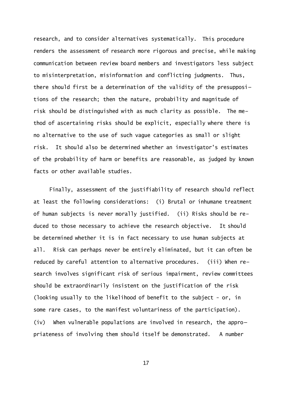research, and to consider alternatives systematically. This procedure renders the assessment of research more rigorous and precise, while making communication between review board members and investigators less subject to misinterpretation, misinformation and conflicting judgments. Thus, there should first be a determination of the validity of the presuppositions of the research; then the nature, probability and magnitude of risk should be distinguished with as much clarity as possible. The method of ascertaining risks should be explicit, especially where there is no alternative to the use of such vague categories as small or slight risk. It should also be determined whether an investigator's estimates of the probability of harm or benefits are reasonable, as judged by known facts or other available studies.

Finally, assessment of the justifiability of research should reflect at least the following considerations: (i) Brutal or inhumane treatment of human subjects is never morally justified. (ii) Risks should be reduced to those necessary to achieve the research objective. It should be determined whether it is in fact necessary to use human subjects at all. Risk can perhaps never be entirely eliminated, but it can often be reduced by careful attention to alternative procedures. (iii) When research involves significant risk of serious impairment, review committees should be extraordinarily insistent on the justification of the risk (looking usually to the likelihood of benefit to the subject - or, in some rare cases, to the manifest voluntariness of the participation). (iv) When vulnerable populations are involved in research, the appropriateness of involving them should itself be demonstrated. A number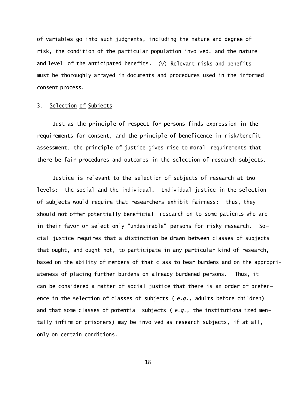<span id="page-35-0"></span>of variables go into such judgments, including the nature and degree of risk, the condition of the particular population involved, and the nature and level of the anticipated benefits. (v) Relevant risks and benefits must be thoroughly arrayed in documents and procedures used in the informed consent process.

#### 3. Selection of Subjects

Just as the principle of respect for persons finds expression in the requirements for consent, and the principle of beneficence in risk/benefit assessment, the principle of justice gives rise to moral requirements that there be fair procedures and outcomes in the selection of research subjects.

Justice is relevant to the selection of subjects of research at two levels: the social and the individual. Individual justice in the selection of subjects would require that researchers exhibit fairness: thus, they should not offer potentially beneficial research on to some patients who are in their favor or select only "undesirable" persons for risky research. Social justice requires that a distinction be drawn between classes of subjects that ought, and ought not, to participate in any particular kind of research, based on the ability of members of that class to bear burdens and on the appropriateness of placing further burdens on already burdened persons. Thus, it can be considered a matter of social justice that there is an order of preference in the selection of classes of subjects ( *e.g.,* adults before children) and that some classes of potential subjects ( *e.g.,* the institutionalized mentally infirm or prisoners) may be involved as research subjects, if at all, only on certain conditions.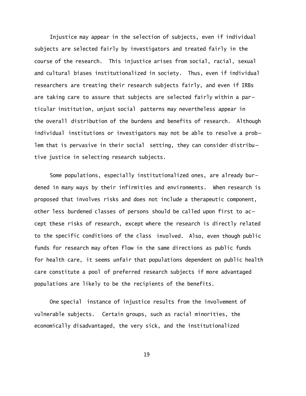Injustice may appear in the selection of subjects, even if individual subjects are selected fairly by investigators and treated fairly in the course of the research. This injustice arises from social, racial, sexual and cultural biases institutionalized in society. Thus, even if individual researchers are treating their research subjects fairly, and even if IRBs are taking care to assure that subjects are selected fairly within a particular institution, unjust social patterns may nevertheless appear in the overall distribution of the burdens and benefits of research. Although individual institutions or investigators may not be able to resolve a problem that is pervasive in their social setting, they can consider distributive justice in selecting research subjects.

Some populations, especially institutionalized ones, are already burdened in many ways by their infirmities and environments. When research is proposed that involves risks and does not include a therapeutic component, other less burdened classes of persons should be called upon first to accept these risks of research, except where the research is directly related to the specific conditions of the class involved. Also, even though public funds for research may often flow in the same directions as public funds for health care, it seems unfair that populations dependent on public health care constitute a pool of preferred research subjects if more advantaged populations are likely to be the recipients of the benefits.

One special instance of injustice results from the involvement of vulnerable subjects. Certain groups, such as racial minorities, the economically disadvantaged, the very sick, and the institutionalized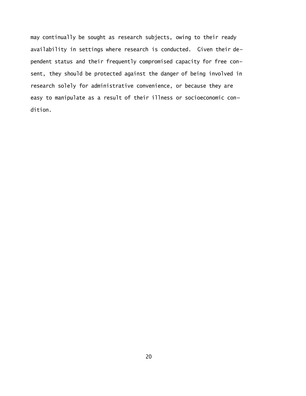may continually be sought as research subjects, owing to their ready availability in settings where research is conducted. Given their dependent status and their frequently compromised capacity for free consent, they should be protected against the danger of being involved in research solely for administrative convenience, or because they are easy to manipulate as a result of their illness or socioeconomic condition.